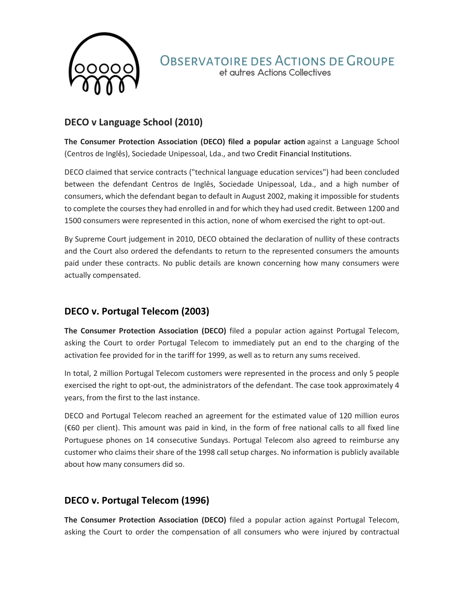

#### **OBSERVATOIRE DES ACTIONS DE GROUPE** et autres Actions Collectives

# **DECO v Language School (2010)**

**The Consumer Protection Association (DECO) filed a popular action** against a Language School (Centros de Inglês), Sociedade Unipessoal, Lda., and two Credit Financial Institutions.

DECO claimed that service contracts ("technical language education services") had been concluded between the defendant Centros de Inglês, Sociedade Unipessoal, Lda., and a high number of consumers, which the defendant began to default in August 2002, making it impossible for students to complete the courses they had enrolled in and for which they had used credit. Between 1200 and 1500 consumers were represented in this action, none of whom exercised the right to opt-out.

By Supreme Court judgement in 2010, DECO obtained the declaration of nullity of these contracts and the Court also ordered the defendants to return to the represented consumers the amounts paid under these contracts. No public details are known concerning how many consumers were actually compensated.

# **DECO v. Portugal Telecom (2003)**

**The Consumer Protection Association (DECO)** filed a popular action against Portugal Telecom, asking the Court to order Portugal Telecom to immediately put an end to the charging of the activation fee provided for in the tariff for 1999, as well as to return any sums received.

In total, 2 million Portugal Telecom customers were represented in the process and only 5 people exercised the right to opt-out, the administrators of the defendant. The case took approximately 4 years, from the first to the last instance.

DECO and Portugal Telecom reached an agreement for the estimated value of 120 million euros (€60 per client). This amount was paid in kind, in the form of free national calls to all fixed line Portuguese phones on 14 consecutive Sundays. Portugal Telecom also agreed to reimburse any customer who claims their share of the 1998 call setup charges. No information is publicly available about how many consumers did so.

# **DECO v. Portugal Telecom (1996)**

**The Consumer Protection Association (DECO)** filed a popular action against Portugal Telecom, asking the Court to order the compensation of all consumers who were injured by contractual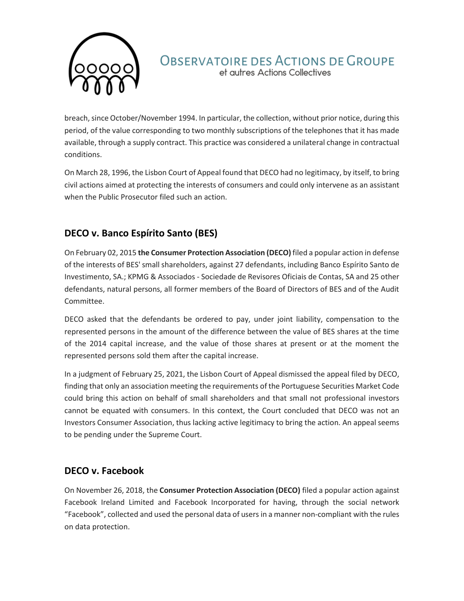

# **OBSERVATOIRE DES ACTIONS DE GROUPE**

et autres Actions Collectives

breach, since October/November 1994. In particular, the collection, without prior notice, during this period, of the value corresponding to two monthly subscriptions of the telephones that it has made available, through a supply contract. This practice was considered a unilateral change in contractual conditions.

On March 28, 1996, the Lisbon Court of Appeal found that DECO had no legitimacy, by itself, to bring civil actions aimed at protecting the interests of consumers and could only intervene as an assistant when the Public Prosecutor filed such an action.

# **DECO v. Banco Espírito Santo (BES)**

On February 02, 2015 **the Consumer Protection Association (DECO)** filed a popular action in defense of the interests of BES' small shareholders, against 27 defendants, including Banco Espírito Santo de Investimento, SA.; KPMG & Associados - Sociedade de Revisores Oficiais de Contas, SA and 25 other defendants, natural persons, all former members of the Board of Directors of BES and of the Audit Committee.

DECO asked that the defendants be ordered to pay, under joint liability, compensation to the represented persons in the amount of the difference between the value of BES shares at the time of the 2014 capital increase, and the value of those shares at present or at the moment the represented persons sold them after the capital increase.

In a judgment of February 25, 2021, the Lisbon Court of Appeal dismissed the appeal filed by DECO, finding that only an association meeting the requirements of the Portuguese Securities Market Code could bring this action on behalf of small shareholders and that small not professional investors cannot be equated with consumers. In this context, the Court concluded that DECO was not an Investors Consumer Association, thus lacking active legitimacy to bring the action. An appeal seems to be pending under the Supreme Court.

#### **DECO v. Facebook**

On November 26, 2018, the **Consumer Protection Association (DECO)** filed a popular action against Facebook Ireland Limited and Facebook Incorporated for having, through the social network "Facebook", collected and used the personal data of users in a manner non-compliant with the rules on data protection.